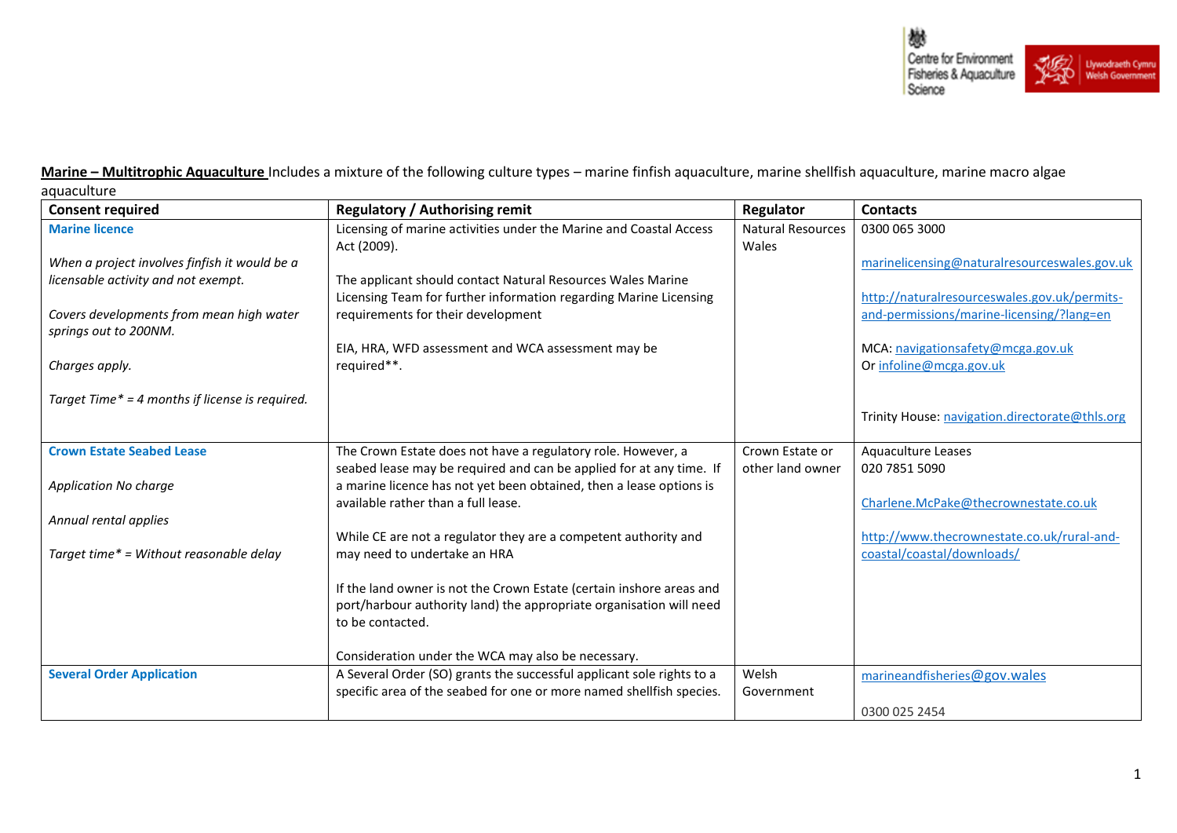

**Marine - Multitrophic Aquaculture** Includes a mixture of the following culture types - marine finfish aquaculture, marine shellfish aquaculture, marine macro algae aquaculture

| <b>Consent required</b>                         | <b>Regulatory / Authorising remit</b>                                                                   | Regulator                         | <b>Contacts</b>                                              |
|-------------------------------------------------|---------------------------------------------------------------------------------------------------------|-----------------------------------|--------------------------------------------------------------|
| <b>Marine licence</b>                           | Licensing of marine activities under the Marine and Coastal Access<br>Act (2009).                       | <b>Natural Resources</b><br>Wales | 0300 065 3000                                                |
| When a project involves finfish it would be a   |                                                                                                         |                                   | marinelicensing@naturalresourceswales.gov.uk                 |
| licensable activity and not exempt.             | The applicant should contact Natural Resources Wales Marine                                             |                                   | http://naturalresourceswales.gov.uk/permits-                 |
| Covers developments from mean high water        | Licensing Team for further information regarding Marine Licensing<br>requirements for their development |                                   | and-permissions/marine-licensing/?lang=en                    |
| springs out to 200NM.                           |                                                                                                         |                                   |                                                              |
| Charges apply.                                  | EIA, HRA, WFD assessment and WCA assessment may be<br>required**.                                       |                                   | MCA: navigationsafety@mcga.gov.uk<br>Or infoline@mcga.gov.uk |
|                                                 |                                                                                                         |                                   |                                                              |
| Target Time* = 4 months if license is required. |                                                                                                         |                                   |                                                              |
|                                                 |                                                                                                         |                                   | Trinity House: navigation.directorate@thls.org               |
| <b>Crown Estate Seabed Lease</b>                | The Crown Estate does not have a regulatory role. However, a                                            | Crown Estate or                   | <b>Aquaculture Leases</b>                                    |
|                                                 | seabed lease may be required and can be applied for at any time. If                                     | other land owner                  | 020 7851 5090                                                |
| <b>Application No charge</b>                    | a marine licence has not yet been obtained, then a lease options is                                     |                                   |                                                              |
|                                                 | available rather than a full lease.                                                                     |                                   | Charlene.McPake@thecrownestate.co.uk                         |
| Annual rental applies                           | While CE are not a regulator they are a competent authority and                                         |                                   | http://www.thecrownestate.co.uk/rural-and-                   |
| Target time* = Without reasonable delay         | may need to undertake an HRA                                                                            |                                   | coastal/coastal/downloads/                                   |
|                                                 | If the land owner is not the Crown Estate (certain inshore areas and                                    |                                   |                                                              |
|                                                 | port/harbour authority land) the appropriate organisation will need                                     |                                   |                                                              |
|                                                 | to be contacted.                                                                                        |                                   |                                                              |
|                                                 | Consideration under the WCA may also be necessary.                                                      |                                   |                                                              |
| <b>Several Order Application</b>                | A Several Order (SO) grants the successful applicant sole rights to a                                   | Welsh                             | marineandfisheries@gov.wales                                 |
|                                                 | specific area of the seabed for one or more named shellfish species.                                    | Government                        |                                                              |
|                                                 |                                                                                                         |                                   | 0300 025 2454                                                |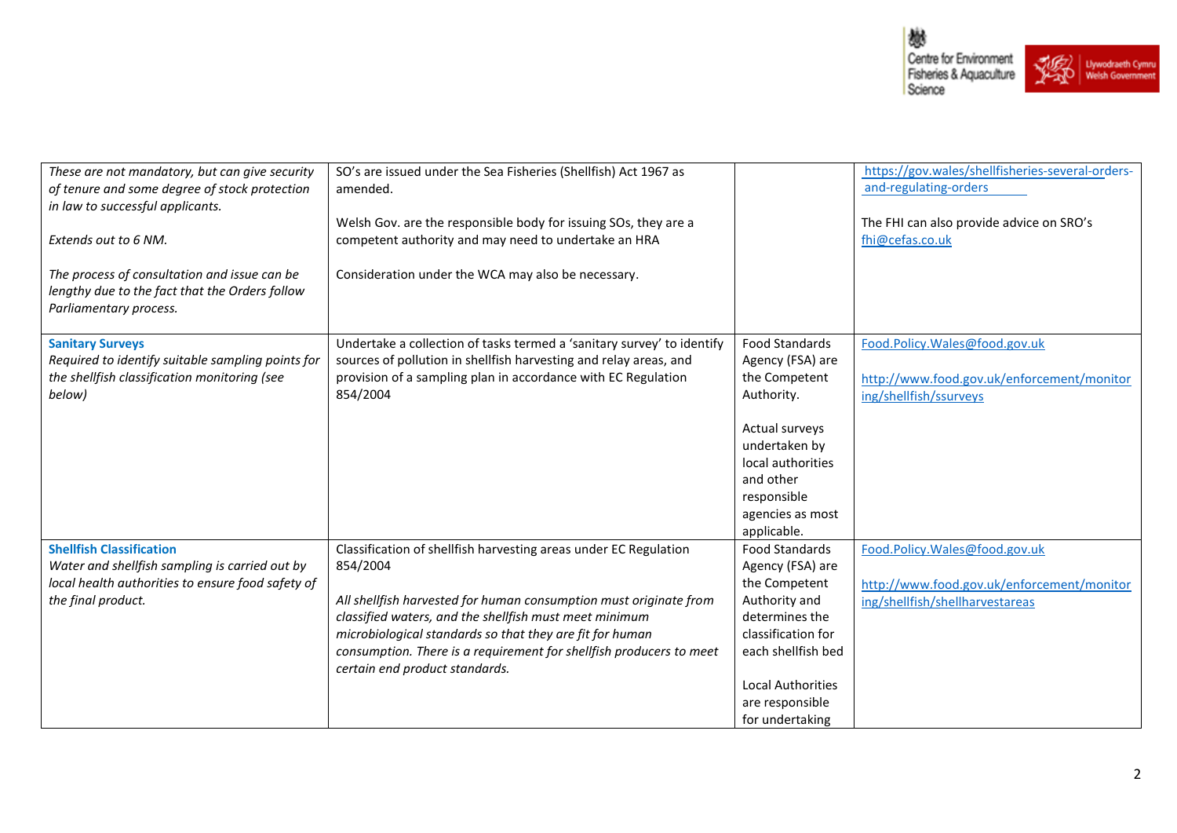

| These are not mandatory, but can give security<br>of tenure and some degree of stock protection<br>in law to successful applicants.<br>Extends out to 6 NM.  | SO's are issued under the Sea Fisheries (Shellfish) Act 1967 as<br>amended.<br>Welsh Gov. are the responsible body for issuing SOs, they are a<br>competent authority and may need to undertake an HRA                                                                                                                                                                           |                                                                                                                                                                                                             | https://gov.wales/shellfisheries-several-orders-<br>and-regulating-orders<br>The FHI can also provide advice on SRO's<br>fhi@cefas.co.uk |
|--------------------------------------------------------------------------------------------------------------------------------------------------------------|----------------------------------------------------------------------------------------------------------------------------------------------------------------------------------------------------------------------------------------------------------------------------------------------------------------------------------------------------------------------------------|-------------------------------------------------------------------------------------------------------------------------------------------------------------------------------------------------------------|------------------------------------------------------------------------------------------------------------------------------------------|
| The process of consultation and issue can be<br>lengthy due to the fact that the Orders follow<br>Parliamentary process.                                     | Consideration under the WCA may also be necessary.                                                                                                                                                                                                                                                                                                                               |                                                                                                                                                                                                             |                                                                                                                                          |
| <b>Sanitary Surveys</b><br>Required to identify suitable sampling points for<br>the shellfish classification monitoring (see<br>below)                       | Undertake a collection of tasks termed a 'sanitary survey' to identify<br>sources of pollution in shellfish harvesting and relay areas, and<br>provision of a sampling plan in accordance with EC Regulation<br>854/2004                                                                                                                                                         | <b>Food Standards</b><br>Agency (FSA) are<br>the Competent<br>Authority.<br>Actual surveys<br>undertaken by<br>local authorities<br>and other<br>responsible<br>agencies as most<br>applicable.             | Food.Policy.Wales@food.gov.uk<br>http://www.food.gov.uk/enforcement/monitor<br>ing/shellfish/ssurveys                                    |
| <b>Shellfish Classification</b><br>Water and shellfish sampling is carried out by<br>local health authorities to ensure food safety of<br>the final product. | Classification of shellfish harvesting areas under EC Regulation<br>854/2004<br>All shellfish harvested for human consumption must originate from<br>classified waters, and the shellfish must meet minimum<br>microbiological standards so that they are fit for human<br>consumption. There is a requirement for shellfish producers to meet<br>certain end product standards. | <b>Food Standards</b><br>Agency (FSA) are<br>the Competent<br>Authority and<br>determines the<br>classification for<br>each shellfish bed<br><b>Local Authorities</b><br>are responsible<br>for undertaking | Food.Policy.Wales@food.gov.uk<br>http://www.food.gov.uk/enforcement/monitor<br>ing/shellfish/shellharvestareas                           |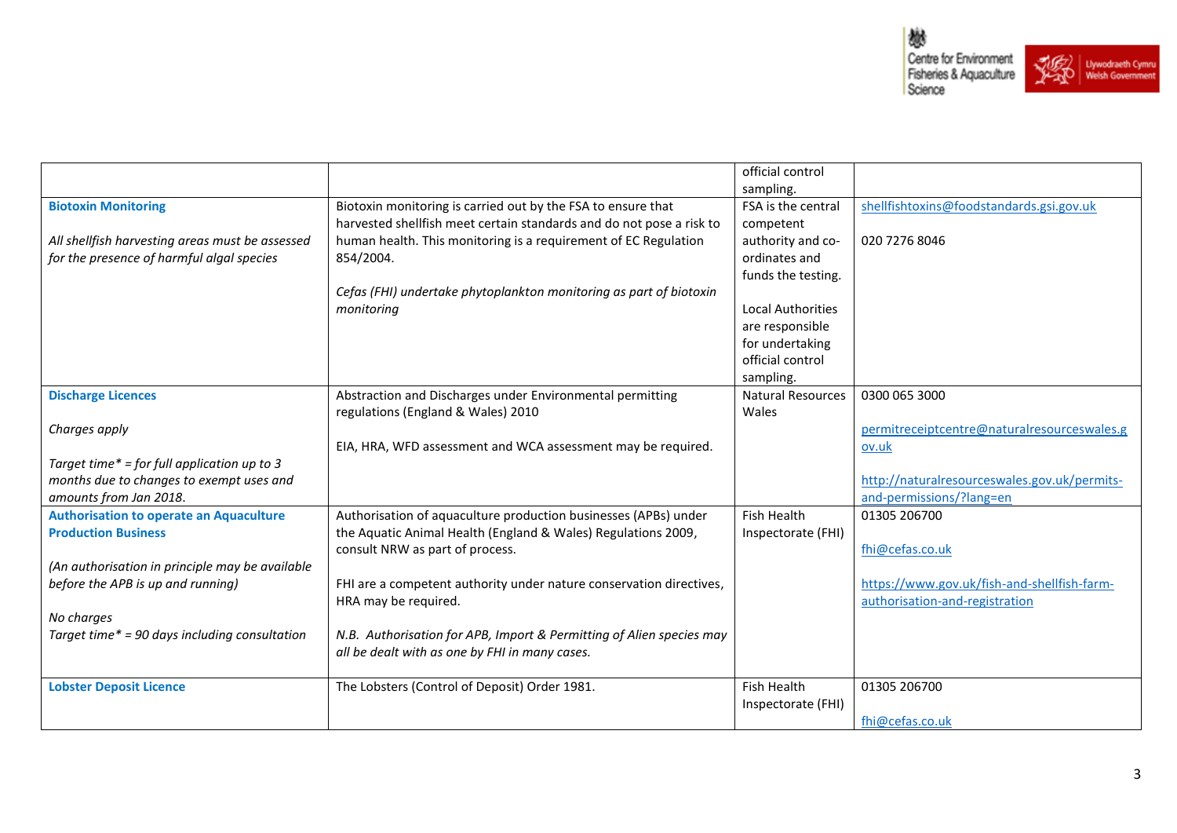

|                                                 |                                                                      | official control         |                                                      |
|-------------------------------------------------|----------------------------------------------------------------------|--------------------------|------------------------------------------------------|
|                                                 |                                                                      | sampling.                |                                                      |
| <b>Biotoxin Monitoring</b>                      | Biotoxin monitoring is carried out by the FSA to ensure that         | FSA is the central       | shellfishtoxins@foodstandards.gsi.gov.uk             |
|                                                 | harvested shellfish meet certain standards and do not pose a risk to | competent                |                                                      |
| All shellfish harvesting areas must be assessed | human health. This monitoring is a requirement of EC Regulation      | authority and co-        | 020 7276 8046                                        |
| for the presence of harmful algal species       | 854/2004.                                                            | ordinates and            |                                                      |
|                                                 |                                                                      | funds the testing.       |                                                      |
|                                                 | Cefas (FHI) undertake phytoplankton monitoring as part of biotoxin   |                          |                                                      |
|                                                 | monitoring                                                           | <b>Local Authorities</b> |                                                      |
|                                                 |                                                                      | are responsible          |                                                      |
|                                                 |                                                                      | for undertaking          |                                                      |
|                                                 |                                                                      | official control         |                                                      |
|                                                 |                                                                      | sampling.                |                                                      |
| <b>Discharge Licences</b>                       | Abstraction and Discharges under Environmental permitting            | <b>Natural Resources</b> | 0300 065 3000                                        |
|                                                 | regulations (England & Wales) 2010                                   | Wales                    |                                                      |
| Charges apply                                   | EIA, HRA, WFD assessment and WCA assessment may be required.         |                          | permitreceiptcentre@naturalresourceswales.g<br>ov.uk |
| Target time* = for full application up to 3     |                                                                      |                          |                                                      |
| months due to changes to exempt uses and        |                                                                      |                          | http://naturalresourceswales.gov.uk/permits-         |
| amounts from Jan 2018.                          |                                                                      |                          | and-permissions/?lang=en                             |
| <b>Authorisation to operate an Aquaculture</b>  | Authorisation of aquaculture production businesses (APBs) under      | Fish Health              | 01305 206700                                         |
| <b>Production Business</b>                      | the Aquatic Animal Health (England & Wales) Regulations 2009,        | Inspectorate (FHI)       |                                                      |
|                                                 | consult NRW as part of process.                                      |                          | fhi@cefas.co.uk                                      |
| (An authorisation in principle may be available |                                                                      |                          |                                                      |
| before the APB is up and running)               | FHI are a competent authority under nature conservation directives,  |                          | https://www.gov.uk/fish-and-shellfish-farm-          |
|                                                 | HRA may be required.                                                 |                          | authorisation-and-registration                       |
| No charges                                      |                                                                      |                          |                                                      |
| Target time* = 90 days including consultation   | N.B. Authorisation for APB, Import & Permitting of Alien species may |                          |                                                      |
|                                                 | all be dealt with as one by FHI in many cases.                       |                          |                                                      |
|                                                 |                                                                      |                          |                                                      |
| <b>Lobster Deposit Licence</b>                  | The Lobsters (Control of Deposit) Order 1981.                        | Fish Health              | 01305 206700                                         |
|                                                 |                                                                      | Inspectorate (FHI)       |                                                      |
|                                                 |                                                                      |                          | fhi@cefas.co.uk                                      |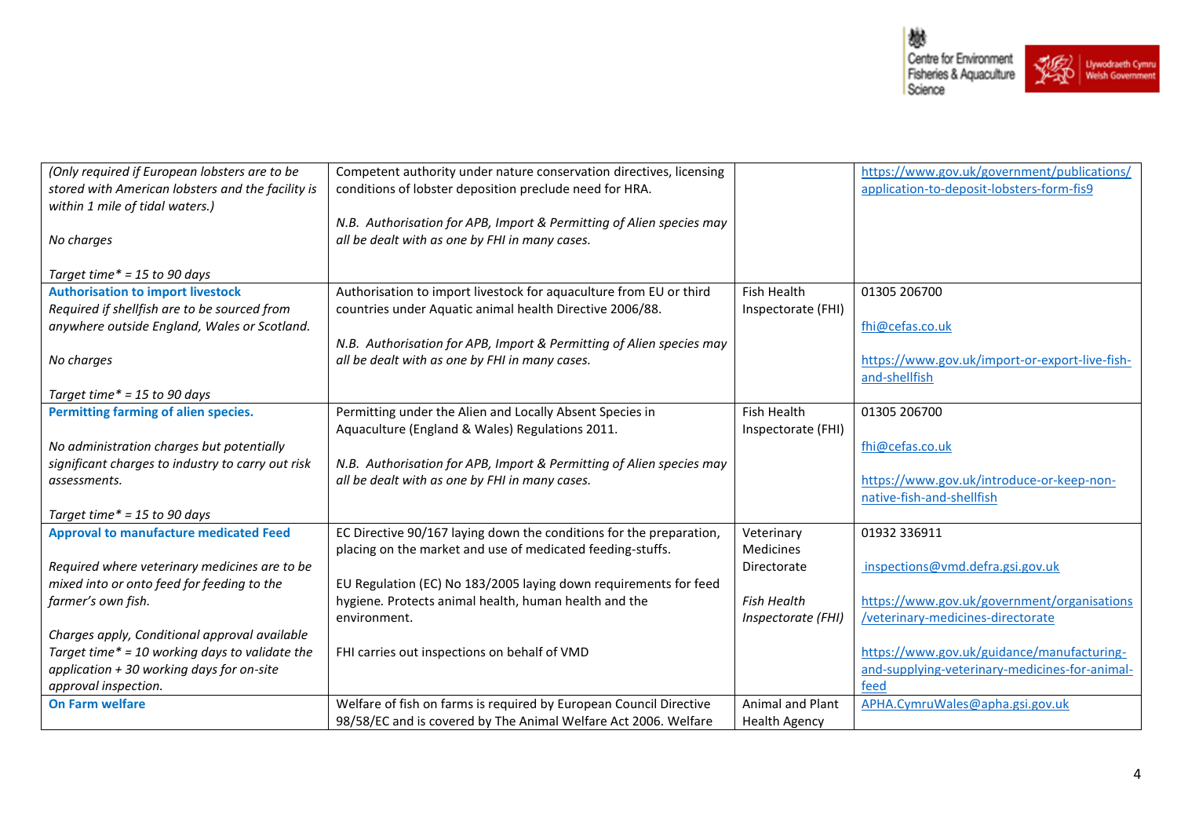

| (Only required if European lobsters are to be<br>stored with American lobsters and the facility is | Competent authority under nature conservation directives, licensing<br>conditions of lobster deposition preclude need for HRA. |                      | https://www.gov.uk/government/publications/<br>application-to-deposit-lobsters-form-fis9 |
|----------------------------------------------------------------------------------------------------|--------------------------------------------------------------------------------------------------------------------------------|----------------------|------------------------------------------------------------------------------------------|
| within 1 mile of tidal waters.)                                                                    |                                                                                                                                |                      |                                                                                          |
|                                                                                                    | N.B. Authorisation for APB, Import & Permitting of Alien species may                                                           |                      |                                                                                          |
| No charges                                                                                         | all be dealt with as one by FHI in many cases.                                                                                 |                      |                                                                                          |
| Target time $* = 15$ to 90 days                                                                    |                                                                                                                                |                      |                                                                                          |
| <b>Authorisation to import livestock</b>                                                           | Authorisation to import livestock for aquaculture from EU or third                                                             | Fish Health          | 01305 206700                                                                             |
| Required if shellfish are to be sourced from<br>anywhere outside England, Wales or Scotland.       | countries under Aquatic animal health Directive 2006/88.                                                                       | Inspectorate (FHI)   |                                                                                          |
|                                                                                                    | N.B. Authorisation for APB, Import & Permitting of Alien species may                                                           |                      | fhi@cefas.co.uk                                                                          |
| No charges                                                                                         | all be dealt with as one by FHI in many cases.                                                                                 |                      | https://www.gov.uk/import-or-export-live-fish-                                           |
|                                                                                                    |                                                                                                                                |                      | and-shellfish                                                                            |
| Target time $* = 15$ to 90 days                                                                    |                                                                                                                                |                      |                                                                                          |
| Permitting farming of alien species.                                                               | Permitting under the Alien and Locally Absent Species in                                                                       | <b>Fish Health</b>   | 01305 206700                                                                             |
|                                                                                                    | Aquaculture (England & Wales) Regulations 2011.                                                                                | Inspectorate (FHI)   |                                                                                          |
| No administration charges but potentially                                                          |                                                                                                                                |                      | fhi@cefas.co.uk                                                                          |
| significant charges to industry to carry out risk                                                  | N.B. Authorisation for APB, Import & Permitting of Alien species may                                                           |                      |                                                                                          |
| assessments.                                                                                       | all be dealt with as one by FHI in many cases.                                                                                 |                      | https://www.gov.uk/introduce-or-keep-non-                                                |
|                                                                                                    |                                                                                                                                |                      | native-fish-and-shellfish                                                                |
| Target time $* = 15$ to 90 days                                                                    |                                                                                                                                |                      |                                                                                          |
| <b>Approval to manufacture medicated Feed</b>                                                      | EC Directive 90/167 laying down the conditions for the preparation,                                                            | Veterinary           | 01932 336911                                                                             |
|                                                                                                    | placing on the market and use of medicated feeding-stuffs.                                                                     | <b>Medicines</b>     |                                                                                          |
| Required where veterinary medicines are to be                                                      |                                                                                                                                | Directorate          | inspections@vmd.defra.gsi.gov.uk                                                         |
| mixed into or onto feed for feeding to the                                                         | EU Regulation (EC) No 183/2005 laying down requirements for feed                                                               |                      |                                                                                          |
| farmer's own fish.                                                                                 | hygiene. Protects animal health, human health and the                                                                          | <b>Fish Health</b>   | https://www.gov.uk/government/organisations                                              |
| Charges apply, Conditional approval available                                                      | environment.                                                                                                                   | Inspectorate (FHI)   | /veterinary-medicines-directorate                                                        |
| Target time* = 10 working days to validate the                                                     | FHI carries out inspections on behalf of VMD                                                                                   |                      | https://www.gov.uk/guidance/manufacturing-                                               |
|                                                                                                    |                                                                                                                                |                      |                                                                                          |
| application + 30 working days for on-site<br>approval inspection.                                  |                                                                                                                                |                      | and-supplying-veterinary-medicines-for-animal-<br>feed                                   |
| <b>On Farm welfare</b>                                                                             | Welfare of fish on farms is required by European Council Directive                                                             | Animal and Plant     | APHA.CymruWales@apha.gsi.gov.uk                                                          |
|                                                                                                    |                                                                                                                                |                      |                                                                                          |
|                                                                                                    | 98/58/EC and is covered by The Animal Welfare Act 2006. Welfare                                                                | <b>Health Agency</b> |                                                                                          |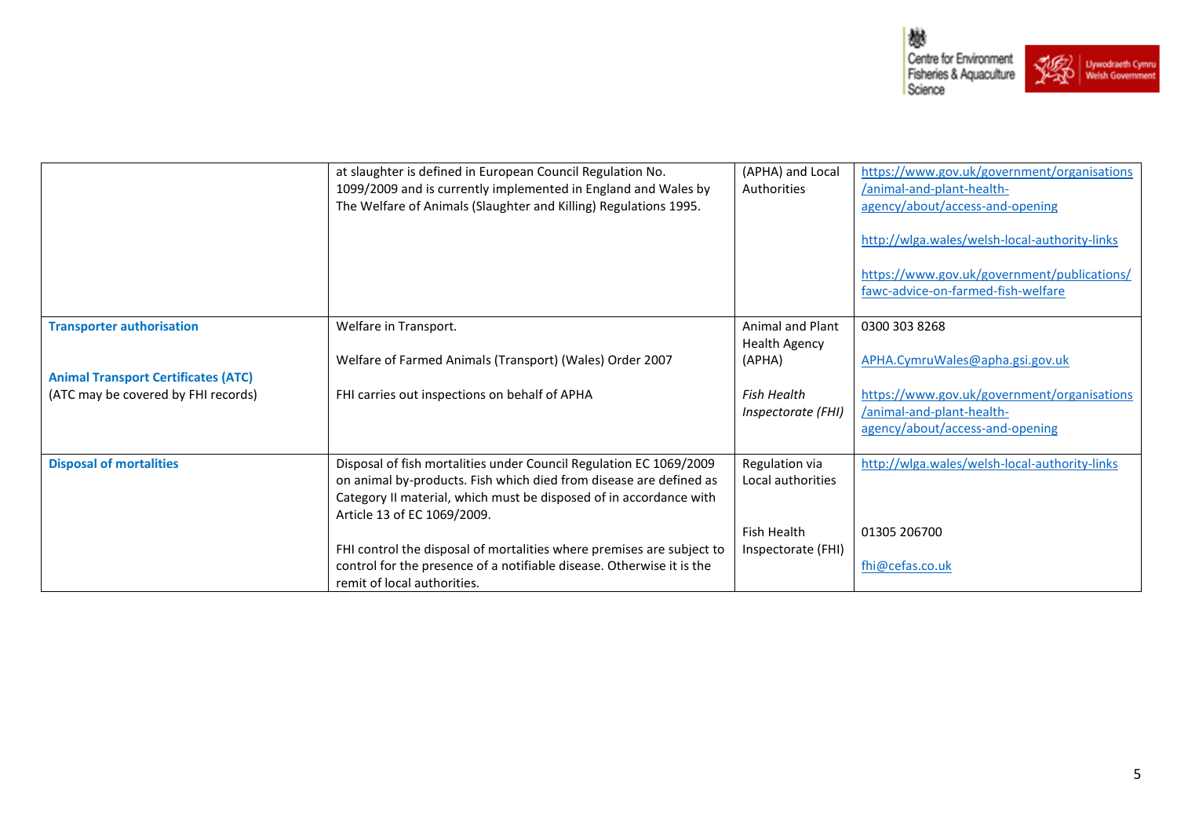

|                                            | at slaughter is defined in European Council Regulation No.<br>1099/2009 and is currently implemented in England and Wales by<br>The Welfare of Animals (Slaughter and Killing) Regulations 1995.                                              | (APHA) and Local<br>Authorities                 | https://www.gov.uk/government/organisations<br>/animal-and-plant-health-<br>agency/about/access-and-opening<br>http://wlga.wales/welsh-local-authority-links<br>https://www.gov.uk/government/publications/<br>fawc-advice-on-farmed-fish-welfare |
|--------------------------------------------|-----------------------------------------------------------------------------------------------------------------------------------------------------------------------------------------------------------------------------------------------|-------------------------------------------------|---------------------------------------------------------------------------------------------------------------------------------------------------------------------------------------------------------------------------------------------------|
| <b>Transporter authorisation</b>           | Welfare in Transport.                                                                                                                                                                                                                         | <b>Animal and Plant</b><br><b>Health Agency</b> | 0300 303 8268                                                                                                                                                                                                                                     |
| <b>Animal Transport Certificates (ATC)</b> | Welfare of Farmed Animals (Transport) (Wales) Order 2007                                                                                                                                                                                      | (APHA)                                          | APHA.CymruWales@apha.gsi.gov.uk                                                                                                                                                                                                                   |
| (ATC may be covered by FHI records)        | FHI carries out inspections on behalf of APHA                                                                                                                                                                                                 | <b>Fish Health</b><br>Inspectorate (FHI)        | https://www.gov.uk/government/organisations<br>/animal-and-plant-health-<br>agency/about/access-and-opening                                                                                                                                       |
| <b>Disposal of mortalities</b>             | Disposal of fish mortalities under Council Regulation EC 1069/2009<br>on animal by-products. Fish which died from disease are defined as<br>Category II material, which must be disposed of in accordance with<br>Article 13 of EC 1069/2009. | Regulation via<br>Local authorities             | http://wlga.wales/welsh-local-authority-links                                                                                                                                                                                                     |
|                                            |                                                                                                                                                                                                                                               | <b>Fish Health</b>                              | 01305 206700                                                                                                                                                                                                                                      |
|                                            | FHI control the disposal of mortalities where premises are subject to<br>control for the presence of a notifiable disease. Otherwise it is the<br>remit of local authorities.                                                                 | Inspectorate (FHI)                              | fhi@cefas.co.uk                                                                                                                                                                                                                                   |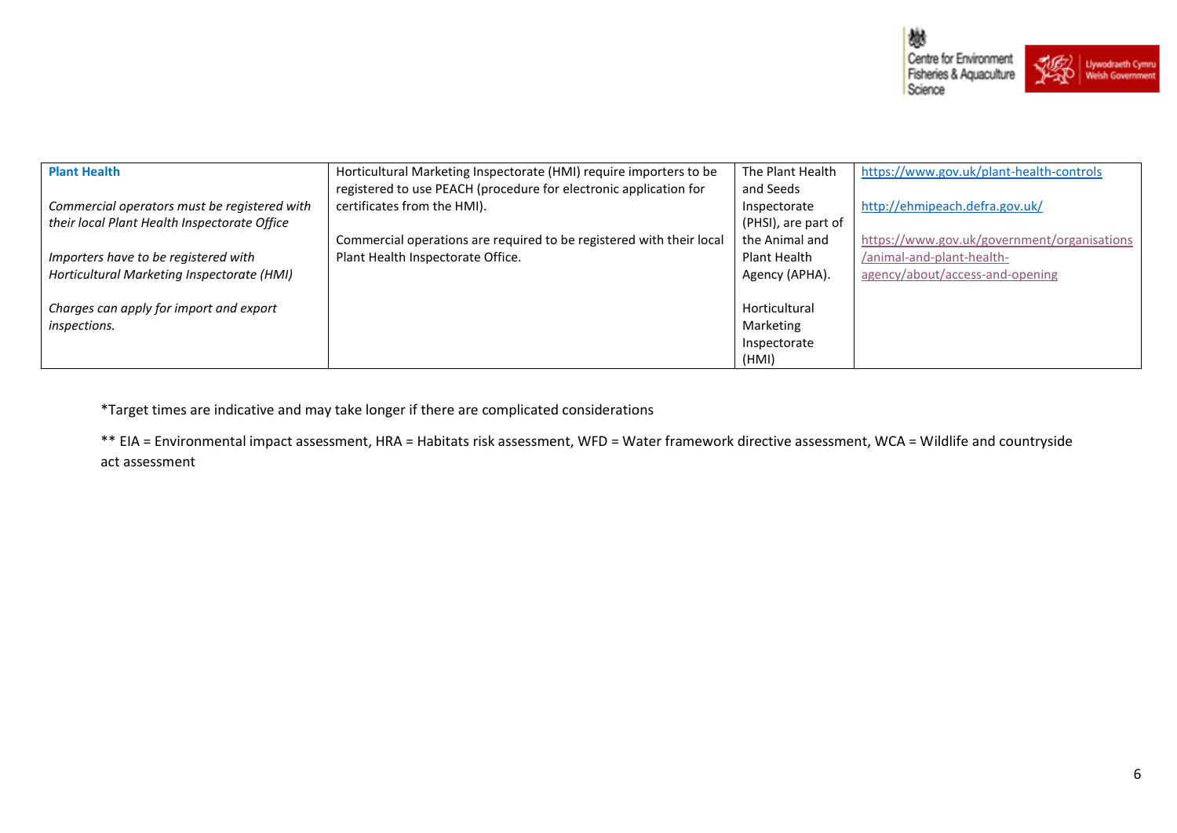

| <b>Plant Health</b>                          | Horticultural Marketing Inspectorate (HMI) require importers to be   | The Plant Health    | https://www.gov.uk/plant-health-controls    |
|----------------------------------------------|----------------------------------------------------------------------|---------------------|---------------------------------------------|
|                                              | registered to use PEACH (procedure for electronic application for    | and Seeds           |                                             |
| Commercial operators must be registered with | certificates from the HMI).                                          | Inspectorate        | http://ehmipeach.defra.gov.uk/              |
| their local Plant Health Inspectorate Office |                                                                      | (PHSI), are part of |                                             |
|                                              | Commercial operations are required to be registered with their local | the Animal and      | https://www.gov.uk/government/organisations |
| Importers have to be registered with         | Plant Health Inspectorate Office.                                    | Plant Health        | /animal-and-plant-health-                   |
| Horticultural Marketing Inspectorate (HMI)   |                                                                      | Agency (APHA).      | agency/about/access-and-opening             |
|                                              |                                                                      |                     |                                             |
| Charges can apply for import and export      |                                                                      | Horticultural       |                                             |
| inspections.                                 |                                                                      | Marketing           |                                             |
|                                              |                                                                      | Inspectorate        |                                             |
|                                              |                                                                      | (HMI)               |                                             |

\*Target times are indicative and may take longer if there are complicated considerations

\*\* EIA = Environmental impact assessment, HRA = Habitats risk assessment, WFD = Water framework directive assessment, WCA = Wildlife and countryside act assessment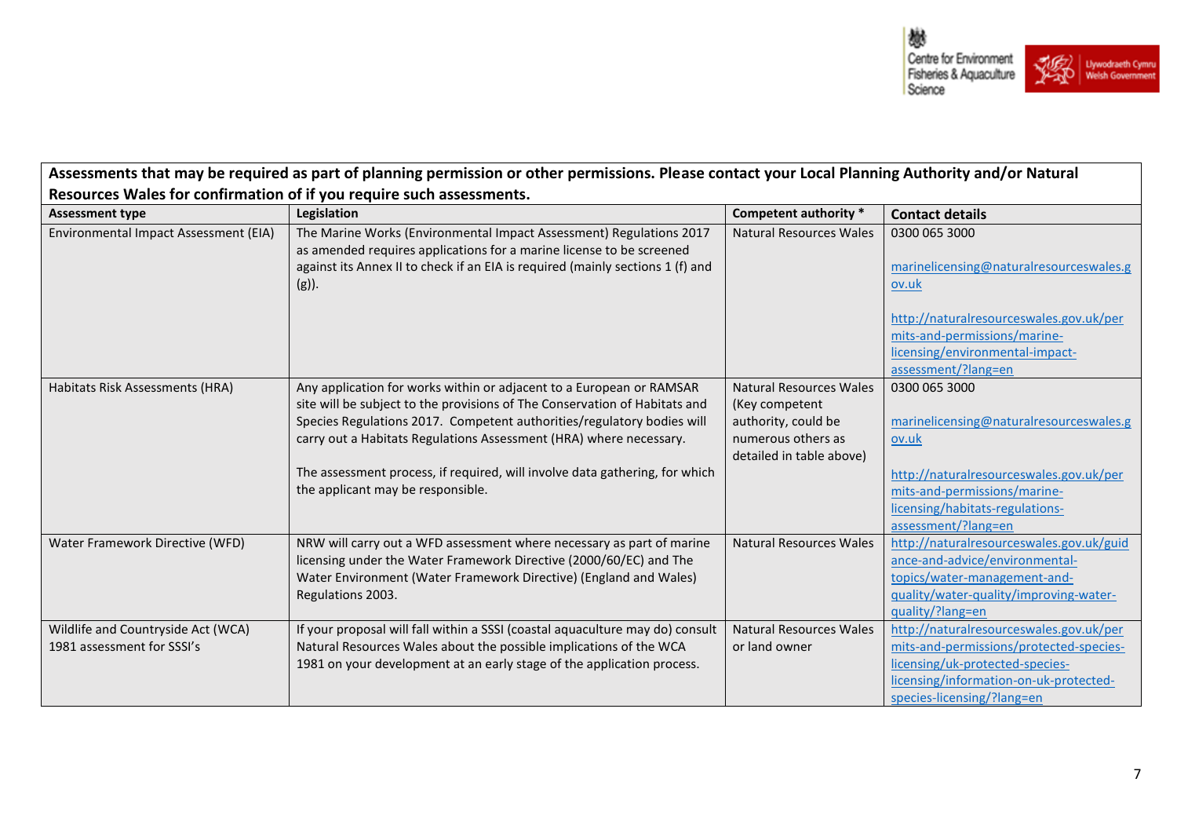

٦

| Assessments that may be required as part of planning permission or other permissions. Please contact your Local Planning Authority and/or Natural |                                                                                                                                                                                                                                                                                                                                                                                                                        |                                                                                                                    |                                                                                                                                                                                                        |  |
|---------------------------------------------------------------------------------------------------------------------------------------------------|------------------------------------------------------------------------------------------------------------------------------------------------------------------------------------------------------------------------------------------------------------------------------------------------------------------------------------------------------------------------------------------------------------------------|--------------------------------------------------------------------------------------------------------------------|--------------------------------------------------------------------------------------------------------------------------------------------------------------------------------------------------------|--|
| Resources Wales for confirmation of if you require such assessments.                                                                              |                                                                                                                                                                                                                                                                                                                                                                                                                        |                                                                                                                    |                                                                                                                                                                                                        |  |
| <b>Assessment type</b>                                                                                                                            | Legislation                                                                                                                                                                                                                                                                                                                                                                                                            | Competent authority *                                                                                              | <b>Contact details</b>                                                                                                                                                                                 |  |
| Environmental Impact Assessment (EIA)                                                                                                             | The Marine Works (Environmental Impact Assessment) Regulations 2017<br>as amended requires applications for a marine license to be screened<br>against its Annex II to check if an EIA is required (mainly sections 1 (f) and<br>$(g)$ ).                                                                                                                                                                              | Natural Resources Wales                                                                                            | 0300 065 3000<br>marinelicensing@naturalresourceswales.g<br>ov.uk<br>http://naturalresourceswales.gov.uk/per<br>mits-and-permissions/marine-<br>licensing/environmental-impact-<br>assessment/?lang=en |  |
| Habitats Risk Assessments (HRA)                                                                                                                   | Any application for works within or adjacent to a European or RAMSAR<br>site will be subject to the provisions of The Conservation of Habitats and<br>Species Regulations 2017. Competent authorities/regulatory bodies will<br>carry out a Habitats Regulations Assessment (HRA) where necessary.<br>The assessment process, if required, will involve data gathering, for which<br>the applicant may be responsible. | Natural Resources Wales<br>(Key competent<br>authority, could be<br>numerous others as<br>detailed in table above) | 0300 065 3000<br>marinelicensing@naturalresourceswales.g<br>ov.uk<br>http://naturalresourceswales.gov.uk/per<br>mits-and-permissions/marine-<br>licensing/habitats-regulations-<br>assessment/?lang=en |  |
| Water Framework Directive (WFD)                                                                                                                   | NRW will carry out a WFD assessment where necessary as part of marine<br>licensing under the Water Framework Directive (2000/60/EC) and The<br>Water Environment (Water Framework Directive) (England and Wales)<br>Regulations 2003.                                                                                                                                                                                  | <b>Natural Resources Wales</b>                                                                                     | http://naturalresourceswales.gov.uk/guid<br>ance-and-advice/environmental-<br>topics/water-management-and-<br>quality/water-quality/improving-water-<br>guality/?lang=en                               |  |
| Wildlife and Countryside Act (WCA)<br>1981 assessment for SSSI's                                                                                  | If your proposal will fall within a SSSI (coastal aquaculture may do) consult<br>Natural Resources Wales about the possible implications of the WCA<br>1981 on your development at an early stage of the application process.                                                                                                                                                                                          | <b>Natural Resources Wales</b><br>or land owner                                                                    | http://naturalresourceswales.gov.uk/per<br>mits-and-permissions/protected-species-<br>licensing/uk-protected-species-<br>licensing/information-on-uk-protected-<br>species-licensing/?lang=en          |  |

 $\mathbf{r}$